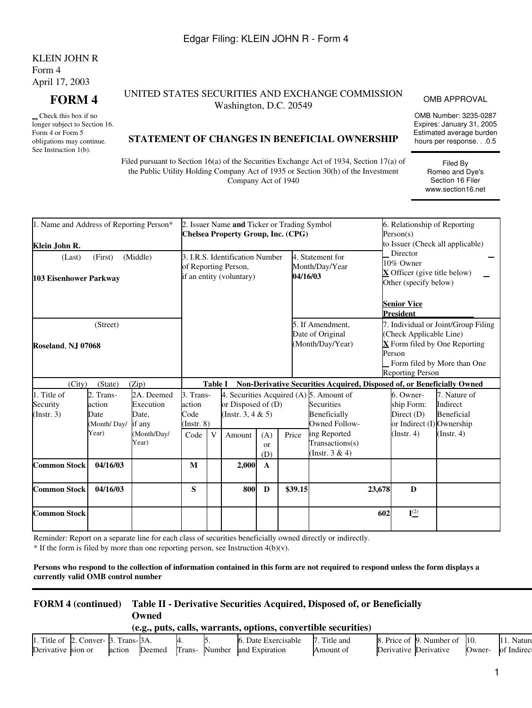# KLEIN JOHN R Form 4 April 17, 2003

 Check this box if no longer subject to Section 16. Form 4 or Form 5 obligations may continue. See Instruction 1(b).

## **FORM 4** UNITED STATES SECURITIES AND EXCHANGE COMMISSION UNITIES AND EXCHANGE COMMISSION OMB APPROVAL<br>Washington, D.C. 20549

OMB Number: 3235-0287 Expires: January 31, 2005 Estimated average burden hours per response. . .0.5

> Filed By Romeo and Dye's Section 16 Filer www.section16.net

### **STATEMENT OF CHANGES IN BENEFICIAL OWNERSHIP**

Filed pursuant to Section 16(a) of the Securities Exchange Act of 1934, Section 17(a) of the Public Utility Holding Company Act of 1935 or Section 30(h) of the Investment Company Act of 1940

| 1. Name and Address of Reporting Person*<br>Klein John R. |                                                     |                                                           |                                                                        |                | 2. Issuer Name and Ticker or Trading Symbol<br><b>Chelsea Property Group, Inc. (CPG)</b>               |                  |         |                                                                        |        | 6. Relationship of Reporting<br>Person(s)                                                                   | to Issuer (Check all applicable)                                                                    |
|-----------------------------------------------------------|-----------------------------------------------------|-----------------------------------------------------------|------------------------------------------------------------------------|----------------|--------------------------------------------------------------------------------------------------------|------------------|---------|------------------------------------------------------------------------|--------|-------------------------------------------------------------------------------------------------------------|-----------------------------------------------------------------------------------------------------|
| (Last)<br>103 Eisenhower Parkway                          | (First)                                             | (Middle)                                                  |                                                                        |                | 3. I.R.S. Identification Number<br>of Reporting Person,<br>if an entity (voluntary)                    |                  |         | 4. Statement for<br>Month/Day/Year<br>04/16/03                         |        | Director<br>10% Owner<br>$\bf{X}$ Officer (give title below)<br>Other (specify below)<br><b>Senior Vice</b> |                                                                                                     |
| <b>Roseland, NJ 07068</b>                                 | (Street)                                            |                                                           |                                                                        |                |                                                                                                        |                  |         | 5. If Amendment.<br>Date of Original<br>(Month/Day/Year)               |        | <b>President</b><br>(Check Applicable Line)<br>Person<br><b>Reporting Person</b>                            | 7. Individual or Joint/Group Filing<br>X Form filed by One Reporting<br>Form filed by More than One |
| (City)                                                    | (State)                                             | (Zip)                                                     |                                                                        | <b>Table I</b> |                                                                                                        |                  |         | Non-Derivative Securities Acquired, Disposed of, or Beneficially Owned |        |                                                                                                             |                                                                                                     |
| 1. Title of<br>Security<br>$($ Instr. 3 $)$               | 2. Trans-<br>action<br>Date<br>(Month/Day/<br>Year) | 2A. Deemed<br>Execution<br>Date,<br>if any<br>(Month/Day/ | 3. Trans-<br>action<br>Code<br>$($ Instr. $8)$<br>Code<br>$\mathbf{V}$ |                | 4. Securities Acquired (A) 5. Amount of<br>or Disposed of (D)<br>(Instr. 3, 4 $& 5$ )<br>Amount<br>(A) |                  | Price   | Securities<br>Beneficially<br><b>Owned Follow-</b><br>ing Reported     |        | 6. Owner-<br>ship Form:<br>Direct (D)<br>or Indirect (I) Ownership<br>$($ Instr. 4 $)$                      | 7. Nature of<br>Indirect<br>Beneficial<br>(Insert. 4)                                               |
|                                                           |                                                     | Year)                                                     |                                                                        |                |                                                                                                        | <b>or</b><br>(D) |         | Transactions(s)<br>(Instr. $3 & 4$ )                                   |        |                                                                                                             |                                                                                                     |
| <b>Common Stock</b>                                       | 04/16/03                                            |                                                           | M                                                                      |                | 2,000                                                                                                  | $\mathbf A$      |         |                                                                        |        |                                                                                                             |                                                                                                     |
| <b>Common Stock</b>                                       | 04/16/03                                            |                                                           | S                                                                      |                | 800                                                                                                    | D                | \$39.15 |                                                                        | 23,678 | D                                                                                                           |                                                                                                     |
| <b>Common Stock</b>                                       |                                                     |                                                           |                                                                        |                |                                                                                                        |                  |         |                                                                        | 602    | $I^{(2)}$                                                                                                   |                                                                                                     |

<span id="page-0-0"></span>Reminder: Report on a separate line for each class of securities beneficially owned directly or indirectly.

 $*$  If the form is filed by more than one reporting person, see Instruction  $4(b)(v)$ .

#### **Persons who respond to the collection of information contained in this form are not required to respond unless the form displays a currently valid OMB control number**

# **FORM 4 (continued) Table II - Derivative Securities Acquired, Disposed of, or Beneficially Owned**

**(e.g., puts, calls, warrants, options, convertible securities)**

| 1. Title of | L. Conver- B. | Trans-BA. |        |        |        | Exercisable<br>Jate | l'itle and |            | . Price of [9]. Number of ] |        |                      |
|-------------|---------------|-----------|--------|--------|--------|---------------------|------------|------------|-----------------------------|--------|----------------------|
| Derivative  | sion or       | action    | Deemed | Trans- | Number | and Expiration      | Amount of  | Derivative | Derivative                  | 'Jwner | Indirect<br>$\Omega$ |